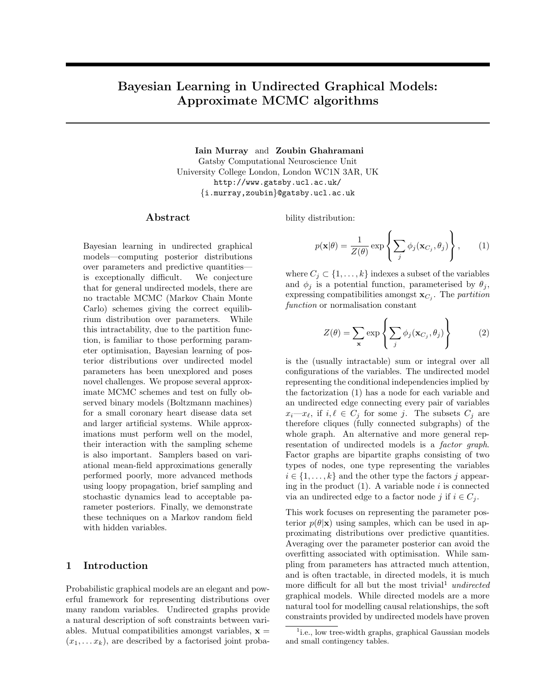# Bayesian Learning in Undirected Graphical Models: Approximate MCMC algorithms

Iain Murray and Zoubin Ghahramani Gatsby Computational Neuroscience Unit University College London, London WC1N 3AR, UK http://www.gatsby.ucl.ac.uk/ {i.murray,zoubin}@gatsby.ucl.ac.uk

#### Abstract

Bayesian learning in undirected graphical models—computing posterior distributions over parameters and predictive quantities is exceptionally difficult. We conjecture that for general undirected models, there are no tractable MCMC (Markov Chain Monte Carlo) schemes giving the correct equilibrium distribution over parameters. While this intractability, due to the partition function, is familiar to those performing parameter optimisation, Bayesian learning of posterior distributions over undirected model parameters has been unexplored and poses novel challenges. We propose several approximate MCMC schemes and test on fully observed binary models (Boltzmann machines) for a small coronary heart disease data set and larger artificial systems. While approximations must perform well on the model, their interaction with the sampling scheme is also important. Samplers based on variational mean-field approximations generally performed poorly, more advanced methods using loopy propagation, brief sampling and stochastic dynamics lead to acceptable parameter posteriors. Finally, we demonstrate these techniques on a Markov random field with hidden variables.

## 1 Introduction

Probabilistic graphical models are an elegant and powerful framework for representing distributions over many random variables. Undirected graphs provide a natural description of soft constraints between variables. Mutual compatibilities amongst variables,  $x =$  $(x_1, \ldots, x_k)$ , are described by a factorised joint probability distribution:

$$
p(\mathbf{x}|\theta) = \frac{1}{Z(\theta)} \exp\left\{ \sum_j \phi_j(\mathbf{x}_{C_j}, \theta_j) \right\},\qquad(1)
$$

where  $C_j \subset \{1, \ldots, k\}$  indexes a subset of the variables and  $\phi_j$  is a potential function, parameterised by  $\theta_j$ , expressing compatibilities amongst  $\mathbf{x}_{C_j}$ . The *partition* function or normalisation constant

$$
Z(\theta) = \sum_{\mathbf{x}} \exp\left\{ \sum_{j} \phi_j(\mathbf{x}_{C_j}, \theta_j) \right\} \tag{2}
$$

is the (usually intractable) sum or integral over all configurations of the variables. The undirected model representing the conditional independencies implied by the factorization (1) has a node for each variable and an undirected edge connecting every pair of variables  $x_i-x_{\ell}$ , if  $i, \ell \in C_j$  for some j. The subsets  $C_j$  are therefore cliques (fully connected subgraphs) of the whole graph. An alternative and more general representation of undirected models is a factor graph. Factor graphs are bipartite graphs consisting of two types of nodes, one type representing the variables  $i \in \{1, \ldots, k\}$  and the other type the factors j appearing in the product  $(1)$ . A variable node i is connected via an undirected edge to a factor node j if  $i \in C_i$ .

This work focuses on representing the parameter posterior  $p(\theta|\mathbf{x})$  using samples, which can be used in approximating distributions over predictive quantities. Averaging over the parameter posterior can avoid the overfitting associated with optimisation. While sampling from parameters has attracted much attention, and is often tractable, in directed models, it is much more difficult for all but the most trivial<sup>1</sup> undirected graphical models. While directed models are a more natural tool for modelling causal relationships, the soft constraints provided by undirected models have proven

<sup>&</sup>lt;sup>1</sup>i.e., low tree-width graphs, graphical Gaussian models and small contingency tables.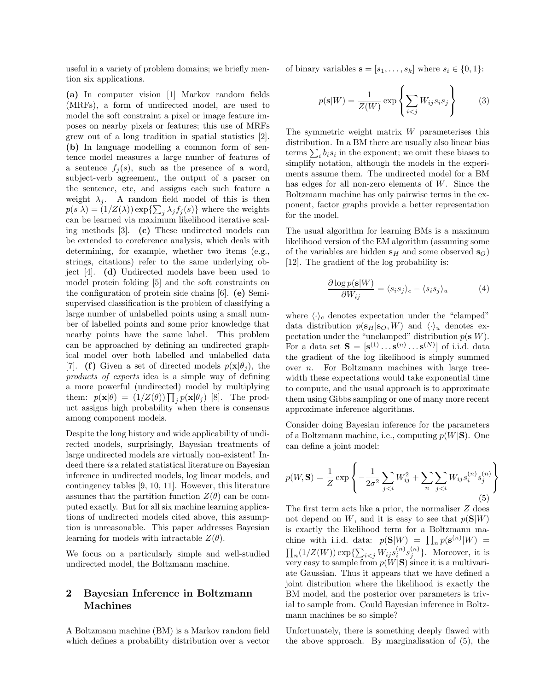useful in a variety of problem domains; we briefly mention six applications.

(a) In computer vision [1] Markov random fields (MRFs), a form of undirected model, are used to model the soft constraint a pixel or image feature imposes on nearby pixels or features; this use of MRFs grew out of a long tradition in spatial statistics [2]. (b) In language modelling a common form of sentence model measures a large number of features of a sentence  $f_j(s)$ , such as the presence of a word, subject-verb agreement, the output of a parser on the sentence, etc, and assigns each such feature a weight  $\lambda_i$ . A random field model of this is then  $p(s|\lambda) = (1/Z(\lambda)) \exp\{\sum_j \lambda_j f_j(s)\}\$  where the weights can be learned via maximum likelihood iterative scaling methods [3]. (c) These undirected models can be extended to coreference analysis, which deals with determining, for example, whether two items (e.g., strings, citations) refer to the same underlying object [4]. (d) Undirected models have been used to model protein folding [5] and the soft constraints on the configuration of protein side chains [6]. (e) Semisupervised classification is the problem of classifying a large number of unlabelled points using a small number of labelled points and some prior knowledge that nearby points have the same label. This problem can be approached by defining an undirected graphical model over both labelled and unlabelled data [7]. (f) Given a set of directed models  $p(\mathbf{x}|\theta_i)$ , the products of experts idea is a simple way of defining a more powerful (undirected) model by multiplying them:  $p(\mathbf{x}|\theta) = (1/Z(\theta)) \prod_j p(\mathbf{x}|\theta_j)$  [8]. The product assigns high probability when there is consensus among component models.

Despite the long history and wide applicability of undirected models, surprisingly, Bayesian treatments of large undirected models are virtually non-existent! Indeed there is a related statistical literature on Bayesian inference in undirected models, log linear models, and contingency tables [9, 10, 11]. However, this literature assumes that the partition function  $Z(\theta)$  can be computed exactly. But for all six machine learning applications of undirected models cited above, this assumption is unreasonable. This paper addresses Bayesian learning for models with intractable  $Z(\theta)$ .

We focus on a particularly simple and well-studied undirected model, the Boltzmann machine.

## 2 Bayesian Inference in Boltzmann Machines

A Boltzmann machine (BM) is a Markov random field which defines a probability distribution over a vector

of binary variables  $\mathbf{s} = [s_1, \ldots, s_k]$  where  $s_i \in \{0, 1\}$ :

$$
p(\mathbf{s}|W) = \frac{1}{Z(W)} \exp\left\{\sum_{i < j} W_{ij} s_i s_j\right\} \tag{3}
$$

The symmetric weight matrix W parameterises this distribution. In a BM there are usually also linear bias terms  $\sum_i b_i s_i$  in the exponent; we omit these biases to simplify notation, although the models in the experiments assume them. The undirected model for a BM has edges for all non-zero elements of W. Since the Boltzmann machine has only pairwise terms in the exponent, factor graphs provide a better representation for the model.

The usual algorithm for learning BMs is a maximum likelihood version of the EM algorithm (assuming some of the variables are hidden  $s_H$  and some observed  $s_O$ ) [12]. The gradient of the log probability is:

$$
\frac{\partial \log p(\mathbf{s}|W)}{\partial W_{ij}} = \langle s_i s_j \rangle_c - \langle s_i s_j \rangle_u \tag{4}
$$

where  $\langle \cdot \rangle_c$  denotes expectation under the "clamped" data distribution  $p(\mathbf{s}_H|\mathbf{s}_O, W)$  and  $\langle \cdot \rangle_u$  denotes expectation under the "unclamped" distribution  $p(s|W)$ . For a data set  $\mathbf{S} = [\mathbf{s}^{(1)} \dots \mathbf{s}^{(n)} \dots \mathbf{s}^{(N)}]$  of i.i.d. data the gradient of the log likelihood is simply summed over n. For Boltzmann machines with large treewidth these expectations would take exponential time to compute, and the usual approach is to approximate them using Gibbs sampling or one of many more recent approximate inference algorithms.

Consider doing Bayesian inference for the parameters of a Boltzmann machine, i.e., computing  $p(W|S)$ . One can define a joint model:

$$
p(W, \mathbf{S}) = \frac{1}{Z} \exp \left\{ -\frac{1}{2\sigma^2} \sum_{j < i} W_{ij}^2 + \sum_n \sum_{j < i} W_{ij} s_i^{(n)} s_j^{(n)} \right\} \tag{5}
$$

The first term acts like a prior, the normaliser Z does not depend on W, and it is easy to see that  $p(S|W)$ is exactly the likelihood term for a Boltzmann machine with i.i.d. data:  $p(\mathbf{S}|W) = \prod_n p(\mathbf{s}^{(n)}|W) =$  $\prod_n(1/Z(W)) \exp\{\sum_{i < j} W_{ij} s_i^{(n)} s_j^{(n)}\}.$  Moreover, it is very easy to sample from  $p(W|S)$  since it is a multivariate Gaussian. Thus it appears that we have defined a joint distribution where the likelihood is exactly the BM model, and the posterior over parameters is trivial to sample from. Could Bayesian inference in Boltzmann machines be so simple?

Unfortunately, there is something deeply flawed with the above approach. By marginalisation of (5), the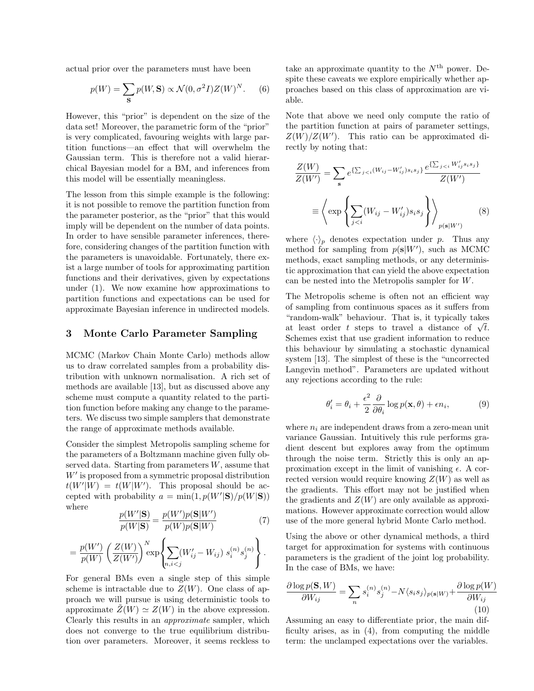actual prior over the parameters must have been

$$
p(W) = \sum_{\mathbf{S}} p(W, \mathbf{S}) \propto \mathcal{N}(0, \sigma^2 I) Z(W)^N.
$$
 (6)

However, this "prior" is dependent on the size of the data set! Moreover, the parametric form of the "prior" is very complicated, favouring weights with large partition functions—an effect that will overwhelm the Gaussian term. This is therefore not a valid hierarchical Bayesian model for a BM, and inferences from this model will be essentially meaningless.

The lesson from this simple example is the following: it is not possible to remove the partition function from the parameter posterior, as the "prior" that this would imply will be dependent on the number of data points. In order to have sensible parameter inferences, therefore, considering changes of the partition function with the parameters is unavoidable. Fortunately, there exist a large number of tools for approximating partition functions and their derivatives, given by expectations under (1). We now examine how approximations to partition functions and expectations can be used for approximate Bayesian inference in undirected models.

#### 3 Monte Carlo Parameter Sampling

MCMC (Markov Chain Monte Carlo) methods allow us to draw correlated samples from a probability distribution with unknown normalisation. A rich set of methods are available [13], but as discussed above any scheme must compute a quantity related to the partition function before making any change to the parameters. We discuss two simple samplers that demonstrate the range of approximate methods available.

Consider the simplest Metropolis sampling scheme for the parameters of a Boltzmann machine given fully observed data. Starting from parameters  $W$ , assume that  $W'$  is proposed from a symmetric proposal distribution  $t(W'|W) = t(W|W')$ . This proposal should be accepted with probability  $a = \min(1, p(W'|\mathbf{S})/p(W|\mathbf{S}))$ where

$$
\frac{p(W'|\mathbf{S})}{p(W|\mathbf{S})} = \frac{p(W')p(\mathbf{S}|W')}{p(W)p(\mathbf{S}|W)}\tag{7}
$$

$$
= \frac{p(W')}{p(W)} \left( \frac{Z(W)}{Z(W')} \right)^N \exp \left\{ \sum_{n,i < j} (W'_{ij} - W_{ij}) \ s_i^{(n)} s_j^{(n)} \right\}.
$$

For general BMs even a single step of this simple scheme is intractable due to  $Z(W)$ . One class of approach we will pursue is using deterministic tools to approximate  $\tilde{Z}(W) \simeq Z(W)$  in the above expression. Clearly this results in an approximate sampler, which does not converge to the true equilibrium distribution over parameters. Moreover, it seems reckless to

take an approximate quantity to the  $N^{\text{th}}$  power. Despite these caveats we explore empirically whether approaches based on this class of approximation are viable.

Note that above we need only compute the ratio of the partition function at pairs of parameter settings,  $Z(W)/Z(W')$ . This ratio can be approximated directly by noting that:

$$
\frac{Z(W)}{Z(W')} = \sum_{\mathbf{s}} e^{\{\sum_{j < i} (W_{ij} - W'_{ij})s_i s_j\}} \frac{e^{\{\sum_{j < i} W'_{ij} s_i s_j\}}}{Z(W')}
$$
\n
$$
\equiv \left\langle \exp \left\{ \sum_{j < i} (W_{ij} - W'_{ij}) s_i s_j \right\} \right\rangle_{p(\mathbf{s}|W')}
$$
\n(8)

where  $\langle \cdot \rangle_p$  denotes expectation under p. Thus any method for sampling from  $p(s|W')$ , such as MCMC methods, exact sampling methods, or any deterministic approximation that can yield the above expectation can be nested into the Metropolis sampler for W.

The Metropolis scheme is often not an efficient way of sampling from continuous spaces as it suffers from "random-walk" behaviour. That is, it typically takes at least order t steps to travel a distance of  $\sqrt{t}$ . Schemes exist that use gradient information to reduce this behaviour by simulating a stochastic dynamical system [13]. The simplest of these is the "uncorrected Langevin method". Parameters are updated without any rejections according to the rule:

$$
\theta_i' = \theta_i + \frac{\epsilon^2}{2} \frac{\partial}{\partial \theta_i} \log p(\mathbf{x}, \theta) + \epsilon n_i,
$$
 (9)

where  $n_i$  are independent draws from a zero-mean unit variance Gaussian. Intuitively this rule performs gradient descent but explores away from the optimum through the noise term. Strictly this is only an approximation except in the limit of vanishing  $\epsilon$ . A corrected version would require knowing  $Z(W)$  as well as the gradients. This effort may not be justified when the gradients and  $Z(W)$  are only available as approximations. However approximate correction would allow use of the more general hybrid Monte Carlo method.

Using the above or other dynamical methods, a third target for approximation for systems with continuous parameters is the gradient of the joint log probability. In the case of BMs, we have:

$$
\frac{\partial \log p(\mathbf{S}, W)}{\partial W_{ij}} = \sum_{n} s_i^{(n)} s_j^{(n)} - N \langle s_i s_j \rangle_{p(\mathbf{s}|W)} + \frac{\partial \log p(W)}{\partial W_{ij}}
$$
\n(10)

Assuming an easy to differentiate prior, the main difficulty arises, as in (4), from computing the middle term: the unclamped expectations over the variables.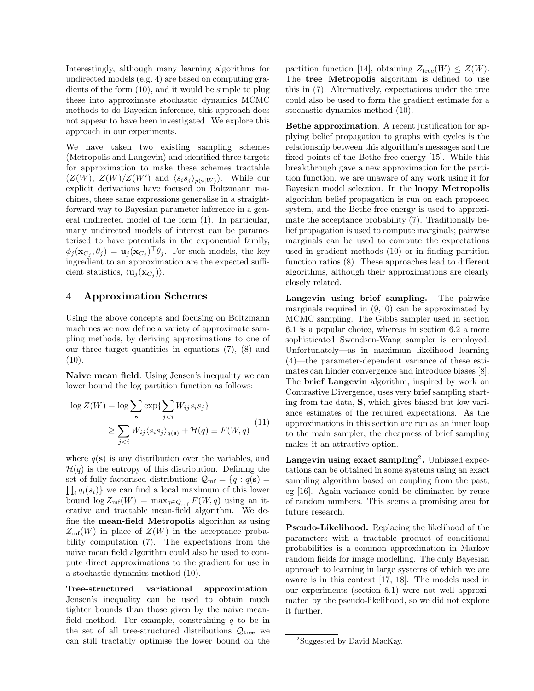Interestingly, although many learning algorithms for undirected models (e.g. 4) are based on computing gradients of the form (10), and it would be simple to plug these into approximate stochastic dynamics MCMC methods to do Bayesian inference, this approach does not appear to have been investigated. We explore this approach in our experiments.

We have taken two existing sampling schemes (Metropolis and Langevin) and identified three targets for approximation to make these schemes tractable  $(Z(W), Z(W)/Z(W')$  and  $\langle s_i s_j \rangle_{p({\bf s}|W)})$ . While our explicit derivations have focused on Boltzmann machines, these same expressions generalise in a straightforward way to Bayesian parameter inference in a general undirected model of the form (1). In particular, many undirected models of interest can be parameterised to have potentials in the exponential family,  $\phi_j(\mathbf{x}_{C_j}, \theta_j) = \mathbf{u}_j(\mathbf{x}_{C_j})^\top \theta_j$ . For such models, the key ingredient to an approximation are the expected sufficient statistics,  $\langle \mathbf{u}_j(\mathbf{x}_{C_j}) \rangle$ .

## 4 Approximation Schemes

Using the above concepts and focusing on Boltzmann machines we now define a variety of approximate sampling methods, by deriving approximations to one of our three target quantities in equations (7), (8) and (10).

Naive mean field. Using Jensen's inequality we can lower bound the log partition function as follows:

$$
\log Z(W) = \log \sum_{s} \exp\{\sum_{j < i} W_{ij} s_i s_j\}
$$
\n
$$
\geq \sum_{j < i} W_{ij} \langle s_i s_j \rangle_{q(s)} + \mathcal{H}(q) \equiv F(W, q) \tag{11}
$$

where  $q(s)$  is any distribution over the variables, and  $\mathcal{H}(q)$  is the entropy of this distribution. Defining the  $\prod_i q_i(s_i)$  we can find a local maximum of this lower set of fully factorised distributions  $\mathcal{Q}_{\rm mf} = \{q : q(\mathbf{s}) =$ bound  $\log Z_{\rm mf}(W) = \max_{q \in \mathcal{Q}_{\rm mf}} F(W, q)$  using an iterative and tractable mean-field algorithm. We define the mean-field Metropolis algorithm as using  $Z_{\rm mf}(W)$  in place of  $Z(W)$  in the acceptance probability computation (7). The expectations from the naive mean field algorithm could also be used to compute direct approximations to the gradient for use in a stochastic dynamics method (10).

Tree-structured variational approximation. Jensen's inequality can be used to obtain much tighter bounds than those given by the naive meanfield method. For example, constraining  $q$  to be in the set of all tree-structured distributions  $\mathcal{Q}_{\text{tree}}$  we can still tractably optimise the lower bound on the

partition function [14], obtaining  $Z_{\text{tree}}(W) \leq Z(W)$ . The tree Metropolis algorithm is defined to use this in (7). Alternatively, expectations under the tree could also be used to form the gradient estimate for a stochastic dynamics method (10).

Bethe approximation. A recent justification for applying belief propagation to graphs with cycles is the relationship between this algorithm's messages and the fixed points of the Bethe free energy [15]. While this breakthrough gave a new approximation for the partition function, we are unaware of any work using it for Bayesian model selection. In the loopy Metropolis algorithm belief propagation is run on each proposed system, and the Bethe free energy is used to approximate the acceptance probability (7). Traditionally belief propagation is used to compute marginals; pairwise marginals can be used to compute the expectations used in gradient methods (10) or in finding partition function ratios (8). These approaches lead to different algorithms, although their approximations are clearly closely related.

Langevin using brief sampling. The pairwise marginals required in (9,10) can be approximated by MCMC sampling. The Gibbs sampler used in section 6.1 is a popular choice, whereas in section 6.2 a more sophisticated Swendsen-Wang sampler is employed. Unfortunately—as in maximum likelihood learning (4)—the parameter-dependent variance of these estimates can hinder convergence and introduce biases [8]. The brief Langevin algorithm, inspired by work on Contrastive Divergence, uses very brief sampling starting from the data, S, which gives biased but low variance estimates of the required expectations. As the approximations in this section are run as an inner loop to the main sampler, the cheapness of brief sampling makes it an attractive option.

Langevin using exact sampling<sup>2</sup>. Unbiased expectations can be obtained in some systems using an exact sampling algorithm based on coupling from the past, eg [16]. Again variance could be eliminated by reuse of random numbers. This seems a promising area for future research.

Pseudo-Likelihood. Replacing the likelihood of the parameters with a tractable product of conditional probabilities is a common approximation in Markov random fields for image modelling. The only Bayesian approach to learning in large systems of which we are aware is in this context [17, 18]. The models used in our experiments (section 6.1) were not well approximated by the pseudo-likelihood, so we did not explore it further.

<sup>&</sup>lt;sup>2</sup>Suggested by David MacKay.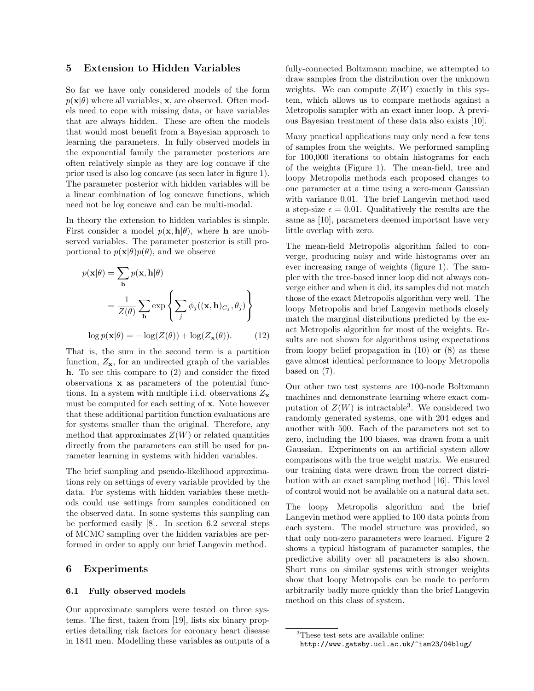### 5 Extension to Hidden Variables

So far we have only considered models of the form  $p(\mathbf{x}|\theta)$  where all variables, **x**, are observed. Often models need to cope with missing data, or have variables that are always hidden. These are often the models that would most benefit from a Bayesian approach to learning the parameters. In fully observed models in the exponential family the parameter posteriors are often relatively simple as they are log concave if the prior used is also log concave (as seen later in figure 1). The parameter posterior with hidden variables will be a linear combination of log concave functions, which need not be log concave and can be multi-modal.

In theory the extension to hidden variables is simple. First consider a model  $p(\mathbf{x}, \mathbf{h}|\theta)$ , where **h** are unobserved variables. The parameter posterior is still proportional to  $p(\mathbf{x}|\theta)p(\theta)$ , and we observe

$$
p(\mathbf{x}|\theta) = \sum_{\mathbf{h}} p(\mathbf{x}, \mathbf{h}|\theta)
$$
  
=  $\frac{1}{Z(\theta)} \sum_{\mathbf{h}} \exp \left\{ \sum_{j} \phi_{j}((\mathbf{x}, \mathbf{h})_{C_{j}}, \theta_{j}) \right\}$   

$$
\log p(\mathbf{x}|\theta) = -\log(Z(\theta)) + \log(Z_{\mathbf{x}}(\theta)).
$$
 (12)

That is, the sum in the second term is a partition function,  $Z_{\mathbf{x}}$ , for an undirected graph of the variables h. To see this compare to (2) and consider the fixed observations x as parameters of the potential functions. In a system with multiple i.i.d. observations  $Z_{\mathbf{x}}$ must be computed for each setting of x. Note however that these additional partition function evaluations are for systems smaller than the original. Therefore, any method that approximates  $Z(W)$  or related quantities directly from the parameters can still be used for parameter learning in systems with hidden variables.

The brief sampling and pseudo-likelihood approximations rely on settings of every variable provided by the data. For systems with hidden variables these methods could use settings from samples conditioned on the observed data. In some systems this sampling can be performed easily [8]. In section 6.2 several steps of MCMC sampling over the hidden variables are performed in order to apply our brief Langevin method.

#### 6 Experiments

#### 6.1 Fully observed models

Our approximate samplers were tested on three systems. The first, taken from [19], lists six binary properties detailing risk factors for coronary heart disease in 1841 men. Modelling these variables as outputs of a fully-connected Boltzmann machine, we attempted to draw samples from the distribution over the unknown weights. We can compute  $Z(W)$  exactly in this system, which allows us to compare methods against a Metropolis sampler with an exact inner loop. A previous Bayesian treatment of these data also exists [10].

Many practical applications may only need a few tens of samples from the weights. We performed sampling for 100,000 iterations to obtain histograms for each of the weights (Figure 1). The mean-field, tree and loopy Metropolis methods each proposed changes to one parameter at a time using a zero-mean Gaussian with variance 0.01. The brief Langevin method used a step-size  $\epsilon = 0.01$ . Qualitatively the results are the same as [10], parameters deemed important have very little overlap with zero.

The mean-field Metropolis algorithm failed to converge, producing noisy and wide histograms over an ever increasing range of weights (figure 1). The sampler with the tree-based inner loop did not always converge either and when it did, its samples did not match those of the exact Metropolis algorithm very well. The loopy Metropolis and brief Langevin methods closely match the marginal distributions predicted by the exact Metropolis algorithm for most of the weights. Results are not shown for algorithms using expectations from loopy belief propagation in  $(10)$  or  $(8)$  as these gave almost identical performance to loopy Metropolis based on (7).

Our other two test systems are 100-node Boltzmann machines and demonstrate learning where exact computation of  $Z(W)$  is intractable<sup>3</sup>. We considered two randomly generated systems, one with 204 edges and another with 500. Each of the parameters not set to zero, including the 100 biases, was drawn from a unit Gaussian. Experiments on an artificial system allow comparisons with the true weight matrix. We ensured our training data were drawn from the correct distribution with an exact sampling method [16]. This level of control would not be available on a natural data set.

The loopy Metropolis algorithm and the brief Langevin method were applied to 100 data points from each system. The model structure was provided, so that only non-zero parameters were learned. Figure 2 shows a typical histogram of parameter samples, the predictive ability over all parameters is also shown. Short runs on similar systems with stronger weights show that loopy Metropolis can be made to perform arbitrarily badly more quickly than the brief Langevin method on this class of system.

<sup>3</sup>These test sets are available online:

http://www.gatsby.ucl.ac.uk/~iam23/04blug/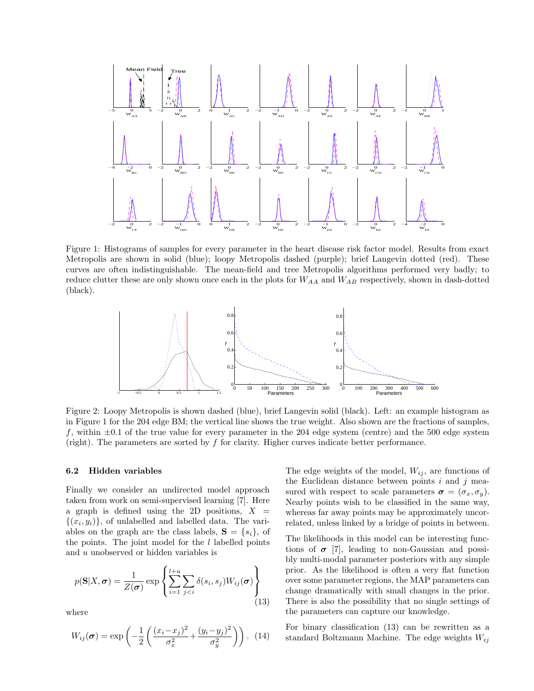

Figure 1: Histograms of samples for every parameter in the heart disease risk factor model. Results from exact Metropolis are shown in solid (blue); loopy Metropolis dashed (purple); brief Langevin dotted (red). These curves are often indistinguishable. The mean-field and tree Metropolis algorithms performed very badly; to reduce clutter these are only shown once each in the plots for  $W_{AA}$  and  $W_{AB}$  respectively, shown in dash-dotted (black).



Figure 2: Loopy Metropolis is shown dashed (blue), brief Langevin solid (black). Left: an example histogram as in Figure 1 for the 204 edge BM; the vertical line shows the true weight. Also shown are the fractions of samples, f, within  $\pm 0.1$  of the true value for every parameter in the 204 edge system (centre) and the 500 edge system (right). The parameters are sorted by f for clarity. Higher curves indicate better performance.

#### 6.2 Hidden variables

Finally we consider an undirected model approach taken from work on semi-supervised learning [7]. Here a graph is defined using the 2D positions,  $X =$  $\{(x_i, y_i)\}\)$ , of unlabelled and labelled data. The variables on the graph are the class labels,  $S = \{s_i\}$ , of the points. The joint model for the  $l$  labelled points and u unobserved or hidden variables is

$$
p(\mathbf{S}|X,\boldsymbol{\sigma}) = \frac{1}{Z(\boldsymbol{\sigma})} \exp \left\{ \sum_{i=1}^{l+u} \sum_{j(13)
$$

where

$$
W_{ij}(\sigma) = \exp\left(-\frac{1}{2}\left(\frac{(x_i - x_j)^2}{\sigma_x^2} + \frac{(y_i - y_j)^2}{\sigma_y^2}\right)\right).
$$
 (14)

The edge weights of the model,  $W_{ij}$ , are functions of the Euclidean distance between points  $i$  and  $j$  measured with respect to scale parameters  $\sigma = (\sigma_x, \sigma_y)$ . Nearby points wish to be classified in the same way, whereas far away points may be approximately uncorrelated, unless linked by a bridge of points in between.

The likelihoods in this model can be interesting functions of  $\sigma$  [7], leading to non-Gaussian and possibly multi-modal parameter posteriors with any simple prior. As the likelihood is often a very flat function over some parameter regions, the MAP parameters can change dramatically with small changes in the prior. There is also the possibility that no single settings of the parameters can capture our knowledge.

For binary classification (13) can be rewritten as a standard Boltzmann Machine. The edge weights  $W_{ij}$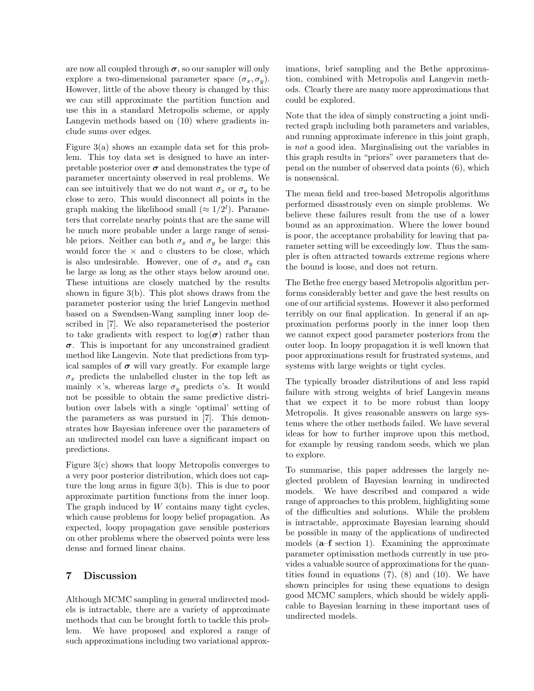are now all coupled through  $\sigma$ , so our sampler will only explore a two-dimensional parameter space  $(\sigma_x, \sigma_y)$ . However, little of the above theory is changed by this: we can still approximate the partition function and use this in a standard Metropolis scheme, or apply Langevin methods based on (10) where gradients include sums over edges.

Figure 3(a) shows an example data set for this problem. This toy data set is designed to have an interpretable posterior over  $\sigma$  and demonstrates the type of parameter uncertainty observed in real problems. We can see intuitively that we do not want  $\sigma_x$  or  $\sigma_y$  to be close to zero. This would disconnect all points in the graph making the likelihood small  $(\approx 1/2^l)$ . Parameters that correlate nearby points that are the same will be much more probable under a large range of sensible priors. Neither can both  $\sigma_x$  and  $\sigma_y$  be large: this would force the  $\times$  and  $\circ$  clusters to be close, which is also undesirable. However, one of  $\sigma_x$  and  $\sigma_y$  can be large as long as the other stays below around one. These intuitions are closely matched by the results shown in figure 3(b). This plot shows draws from the parameter posterior using the brief Langevin method based on a Swendsen-Wang sampling inner loop described in [7]. We also reparameterised the posterior to take gradients with respect to  $log(\sigma)$  rather than  $\sigma$ . This is important for any unconstrained gradient method like Langevin. Note that predictions from typical samples of  $\sigma$  will vary greatly. For example large  $\sigma_x$  predicts the unlabelled cluster in the top left as mainly  $\times$ 's, whereas large  $\sigma_y$  predicts ∘'s. It would not be possible to obtain the same predictive distribution over labels with a single 'optimal' setting of the parameters as was pursued in [7]. This demonstrates how Bayesian inference over the parameters of an undirected model can have a significant impact on predictions.

Figure 3(c) shows that loopy Metropolis converges to a very poor posterior distribution, which does not capture the long arms in figure 3(b). This is due to poor approximate partition functions from the inner loop. The graph induced by  $W$  contains many tight cycles, which cause problems for loopy belief propagation. As expected, loopy propagation gave sensible posteriors on other problems where the observed points were less dense and formed linear chains.

## 7 Discussion

Although MCMC sampling in general undirected models is intractable, there are a variety of approximate methods that can be brought forth to tackle this problem. We have proposed and explored a range of such approximations including two variational approximations, brief sampling and the Bethe approximation, combined with Metropolis and Langevin methods. Clearly there are many more approximations that could be explored.

Note that the idea of simply constructing a joint undirected graph including both parameters and variables, and running approximate inference in this joint graph, is not a good idea. Marginalising out the variables in this graph results in "priors" over parameters that depend on the number of observed data points (6), which is nonsensical.

The mean field and tree-based Metropolis algorithms performed disastrously even on simple problems. We believe these failures result from the use of a lower bound as an approximation. Where the lower bound is poor, the acceptance probability for leaving that parameter setting will be exceedingly low. Thus the sampler is often attracted towards extreme regions where the bound is loose, and does not return.

The Bethe free energy based Metropolis algorithm performs considerably better and gave the best results on one of our artificial systems. However it also performed terribly on our final application. In general if an approximation performs poorly in the inner loop then we cannot expect good parameter posteriors from the outer loop. In loopy propagation it is well known that poor approximations result for frustrated systems, and systems with large weights or tight cycles.

The typically broader distributions of and less rapid failure with strong weights of brief Langevin means that we expect it to be more robust than loopy Metropolis. It gives reasonable answers on large systems where the other methods failed. We have several ideas for how to further improve upon this method, for example by reusing random seeds, which we plan to explore.

To summarise, this paper addresses the largely neglected problem of Bayesian learning in undirected models. We have described and compared a wide range of approaches to this problem, highlighting some of the difficulties and solutions. While the problem is intractable, approximate Bayesian learning should be possible in many of the applications of undirected models (a–f section 1). Examining the approximate parameter optimisation methods currently in use provides a valuable source of approximations for the quantities found in equations  $(7)$ ,  $(8)$  and  $(10)$ . We have shown principles for using these equations to design good MCMC samplers, which should be widely applicable to Bayesian learning in these important uses of undirected models.